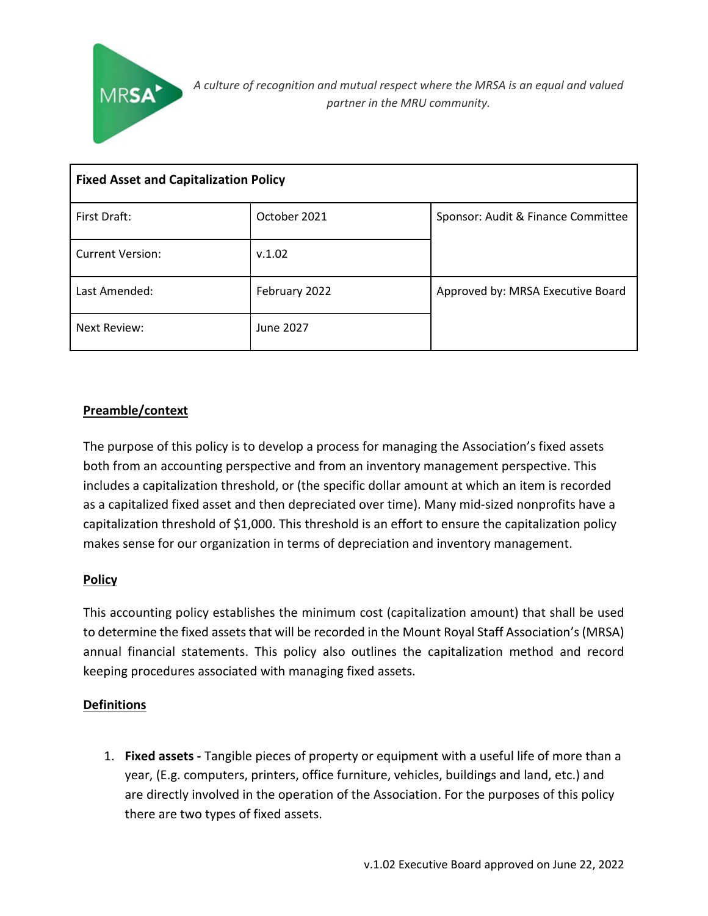

| <b>Fixed Asset and Capitalization Policy</b> |               |                                    |  |
|----------------------------------------------|---------------|------------------------------------|--|
| First Draft:                                 | October 2021  | Sponsor: Audit & Finance Committee |  |
| <b>Current Version:</b>                      | v.1.02        |                                    |  |
| Last Amended:                                | February 2022 | Approved by: MRSA Executive Board  |  |
| Next Review:                                 | June 2027     |                                    |  |

## **Preamble/context**

The purpose of this policy is to develop a process for managing the Association's fixed assets both from an accounting perspective and from an inventory management perspective. This includes a capitalization threshold, or (the specific dollar amount at which an item is recorded as a capitalized fixed asset and then depreciated over time). Many mid-sized nonprofits have a capitalization threshold of \$1,000. This threshold is an effort to ensure the capitalization policy makes sense for our organization in terms of depreciation and inventory management.

### **Policy**

This accounting policy establishes the minimum cost (capitalization amount) that shall be used to determine the fixed assets that will be recorded in the Mount Royal Staff Association's (MRSA) annual financial statements. This policy also outlines the capitalization method and record keeping procedures associated with managing fixed assets.

### **Definitions**

1. **Fixed assets -** Tangible pieces of property or equipment with a useful life of more than a year, (E.g. computers, printers, office furniture, vehicles, buildings and land, etc.) and are directly involved in the operation of the Association. For the purposes of this policy there are two types of fixed assets.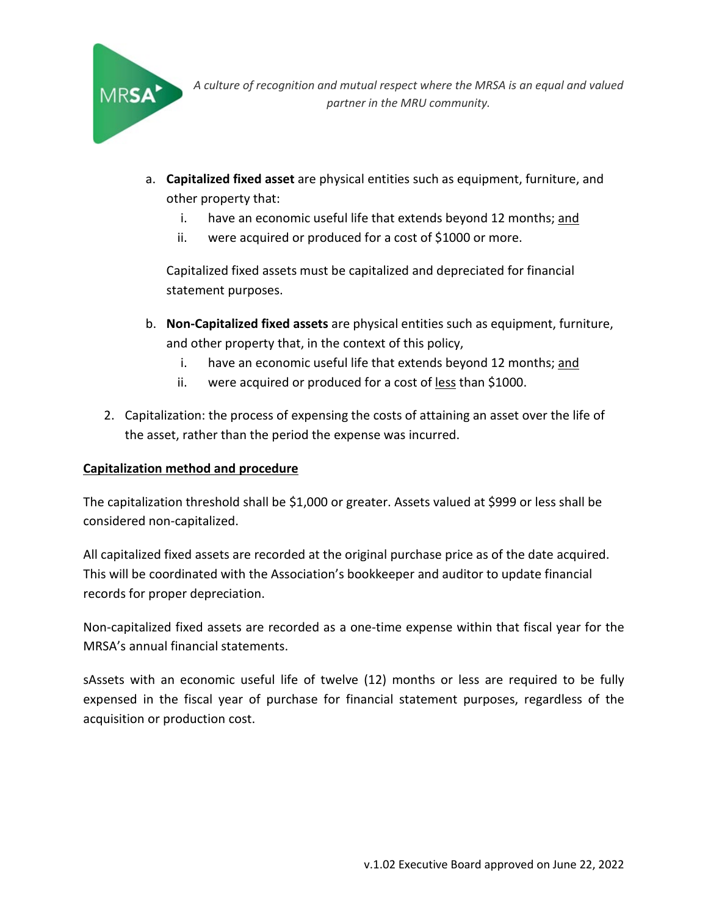

*A culture of recognition and mutual respect where the MRSA is an equal and valued partner in the MRU community.*

- a. **Capitalized fixed asset** are physical entities such as equipment, furniture, and other property that:
	- i. have an economic useful life that extends beyond 12 months; and
	- ii. were acquired or produced for a cost of \$1000 or more.

Capitalized fixed assets must be capitalized and depreciated for financial statement purposes.

- b. **Non-Capitalized fixed assets** are physical entities such as equipment, furniture, and other property that, in the context of this policy,
	- i. have an economic useful life that extends beyond 12 months; and
	- ii. were acquired or produced for a cost of less than \$1000.
- 2. Capitalization: the process of expensing the costs of attaining an asset over the life of the asset, rather than the period the expense was incurred.

## **Capitalization method and procedure**

The capitalization threshold shall be \$1,000 or greater. Assets valued at \$999 or less shall be considered non-capitalized.

All capitalized fixed assets are recorded at the original purchase price as of the date acquired. This will be coordinated with the Association's bookkeeper and auditor to update financial records for proper depreciation.

Non-capitalized fixed assets are recorded as a one-time expense within that fiscal year for the MRSA's annual financial statements.

sAssets with an economic useful life of twelve (12) months or less are required to be fully expensed in the fiscal year of purchase for financial statement purposes, regardless of the acquisition or production cost.